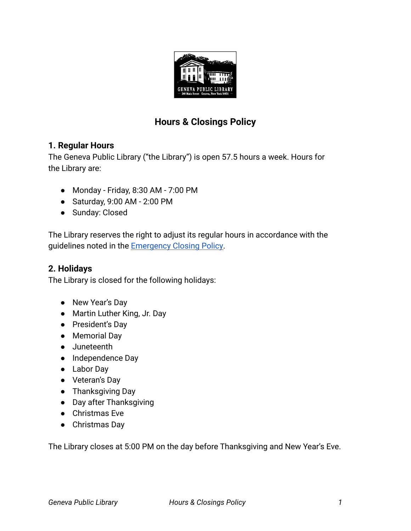

# **Hours & Closings Policy**

## **1. Regular Hours**

The Geneva Public Library ("the Library") is open 57.5 hours a week. Hours for the Library are:

- Monday Friday, 8:30 AM 7:00 PM
- Saturday, 9:00 AM 2:00 PM
- Sunday: Closed

The Library reserves the right to adjust its regular hours in accordance with the guidelines noted in the **Emergency Closing Policy**.

#### **2. Holidays**

The Library is closed for the following holidays:

- New Year's Day
- Martin Luther King, Jr. Day
- President's Day
- Memorial Day
- Juneteenth
- Independence Day
- Labor Day
- Veteran's Day
- Thanksgiving Day
- Day after Thanksgiving
- Christmas Eve
- Christmas Day

The Library closes at 5:00 PM on the day before Thanksgiving and New Year's Eve.